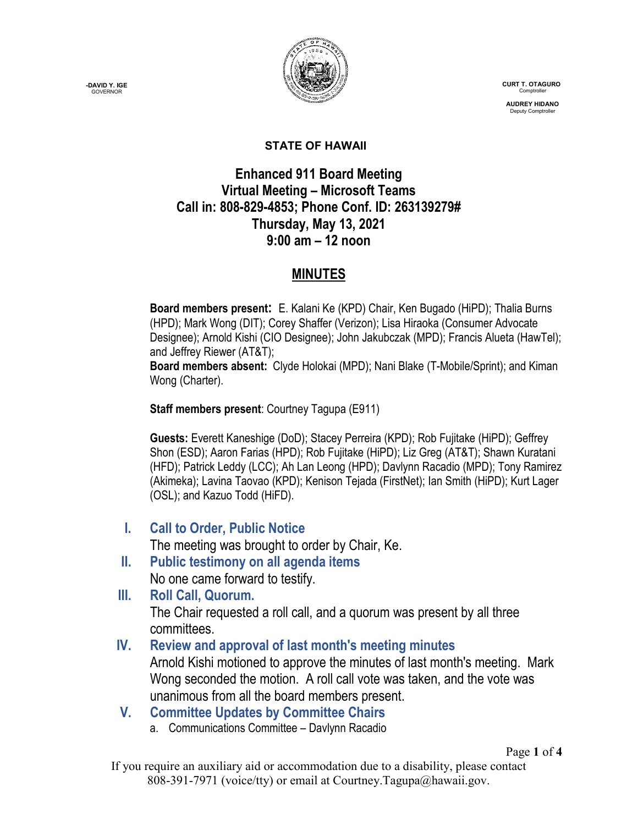**-DAVID Y. IGE GOVERNOR** 



 **CURT T. OTAGURO** Comptrol

 **AUDREY HIDANO** Deputy Comptroll

#### **STATE OF HAWAII**

## **Enhanced 911 Board Meeting Virtual Meeting – Microsoft Teams Call in: 808-829-4853; Phone Conf. ID: 263139279# Thursday, May 13, 2021 9:00 am – 12 noon**

## **MINUTES**

**Board members present:** E. Kalani Ke (KPD) Chair, Ken Bugado (HiPD); Thalia Burns (HPD); Mark Wong (DIT); Corey Shaffer (Verizon); Lisa Hiraoka (Consumer Advocate Designee); Arnold Kishi (CIO Designee); John Jakubczak (MPD); Francis Alueta (HawTel); and Jeffrey Riewer (AT&T);

**Board members absent:** Clyde Holokai (MPD); Nani Blake (T-Mobile/Sprint); and Kiman Wong (Charter).

**Staff members present**: Courtney Tagupa (E911)

**Guests:** Everett Kaneshige (DoD); Stacey Perreira (KPD); Rob Fujitake (HiPD); Geffrey Shon (ESD); Aaron Farias (HPD); Rob Fujitake (HiPD); Liz Greg (AT&T); Shawn Kuratani (HFD); Patrick Leddy (LCC); Ah Lan Leong (HPD); Davlynn Racadio (MPD); Tony Ramirez (Akimeka); Lavina Taovao (KPD); Kenison Tejada (FirstNet); Ian Smith (HiPD); Kurt Lager (OSL); and Kazuo Todd (HiFD).

**I. Call to Order, Public Notice**

The meeting was brought to order by Chair, Ke.

- **II. Public testimony on all agenda items** No one came forward to testify.
- **III. Roll Call, Quorum.** The Chair requested a roll call, and a quorum was present by all three committees.

# **IV. Review and approval of last month's meeting minutes**

Arnold Kishi motioned to approve the minutes of last month's meeting. Mark Wong seconded the motion. A roll call vote was taken, and the vote was unanimous from all the board members present.

# **V. Committee Updates by Committee Chairs**

a. Communications Committee – Davlynn Racadio

If you require an auxiliary aid or accommodation due to a disability, please contact 808-391-7971 (voice/tty) or email at Courtney.Tagupa@hawaii.gov.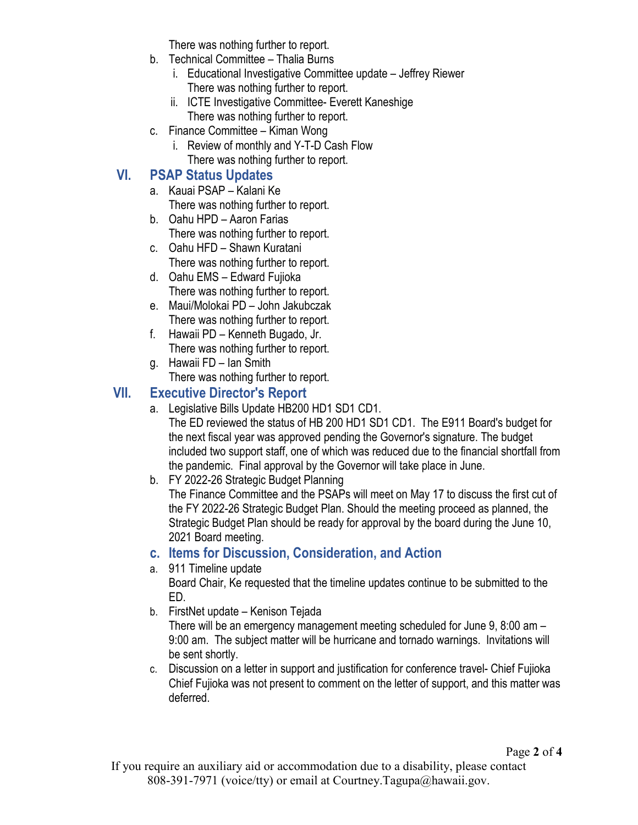There was nothing further to report.

- b. Technical Committee Thalia Burns
	- i. Educational Investigative Committee update Jeffrey Riewer There was nothing further to report.
	- ii. ICTE Investigative Committee- Everett Kaneshige There was nothing further to report.
- c. Finance Committee Kiman Wong
	- i. Review of monthly and Y-T-D Cash Flow There was nothing further to report.

# **VI. PSAP Status Updates**

- a. Kauai PSAP Kalani Ke There was nothing further to report.
- b. Oahu HPD Aaron Farias There was nothing further to report.
- c. Oahu HFD Shawn Kuratani There was nothing further to report.
- d. Oahu EMS Edward Fujioka There was nothing further to report.
- e. Maui/Molokai PD John Jakubczak There was nothing further to report.
- f. Hawaii PD Kenneth Bugado, Jr. There was nothing further to report.
- g. Hawaii FD Ian Smith There was nothing further to report.

## **VII. Executive Director's Report**

- a. Legislative Bills Update HB200 HD1 SD1 CD1. The ED reviewed the status of HB 200 HD1 SD1 CD1. The E911 Board's budget for the next fiscal year was approved pending the Governor's signature. The budget included two support staff, one of which was reduced due to the financial shortfall from the pandemic. Final approval by the Governor will take place in June.
- b. FY 2022-26 Strategic Budget Planning

The Finance Committee and the PSAPs will meet on May 17 to discuss the first cut of the FY 2022-26 Strategic Budget Plan. Should the meeting proceed as planned, the Strategic Budget Plan should be ready for approval by the board during the June 10, 2021 Board meeting.

# **c. Items for Discussion, Consideration, and Action**

a. 911 Timeline update

Board Chair, Ke requested that the timeline updates continue to be submitted to the ED.

b. FirstNet update – Kenison Tejada

There will be an emergency management meeting scheduled for June 9, 8:00 am – 9:00 am. The subject matter will be hurricane and tornado warnings. Invitations will be sent shortly.

c. Discussion on a letter in support and justification for conference travel- Chief Fujioka Chief Fujioka was not present to comment on the letter of support, and this matter was deferred.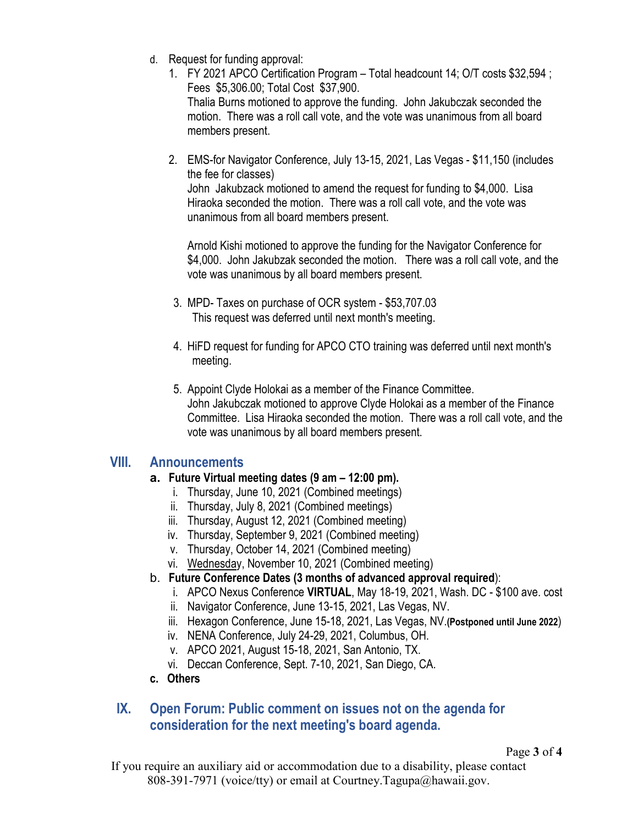- d. Request for funding approval:
	- 1. FY 2021 APCO Certification Program Total headcount 14; O/T costs \$32,594 ; Fees \$5,306.00; Total Cost \$37,900. Thalia Burns motioned to approve the funding. John Jakubczak seconded the motion. There was a roll call vote, and the vote was unanimous from all board members present.
	- 2. EMS-for Navigator Conference, July 13-15, 2021, Las Vegas \$11,150 (includes the fee for classes)

John Jakubzack motioned to amend the request for funding to \$4,000. Lisa Hiraoka seconded the motion. There was a roll call vote, and the vote was unanimous from all board members present.

Arnold Kishi motioned to approve the funding for the Navigator Conference for \$4,000. John Jakubzak seconded the motion. There was a roll call vote, and the vote was unanimous by all board members present.

- 3. MPD- Taxes on purchase of OCR system \$53,707.03 This request was deferred until next month's meeting.
- 4. HiFD request for funding for APCO CTO training was deferred until next month's meeting.
- 5. Appoint Clyde Holokai as a member of the Finance Committee. John Jakubczak motioned to approve Clyde Holokai as a member of the Finance Committee. Lisa Hiraoka seconded the motion. There was a roll call vote, and the vote was unanimous by all board members present.

#### **VIII. Announcements**

- **a. Future Virtual meeting dates (9 am – 12:00 pm).**
	- i. Thursday, June 10, 2021 (Combined meetings)
	- ii. Thursday, July 8, 2021 (Combined meetings)
	- iii. Thursday, August 12, 2021 (Combined meeting)
	- iv. Thursday, September 9, 2021 (Combined meeting)
	- v. Thursday, October 14, 2021 (Combined meeting)
	- vi. Wednesday, November 10, 2021 (Combined meeting)

#### b. **Future Conference Dates (3 months of advanced approval required**):

- i. APCO Nexus Conference **VIRTUAL**, May 18-19, 2021, Wash. DC \$100 ave. cost
- ii. Navigator Conference, June 13-15, 2021, Las Vegas, NV.
- iii. Hexagon Conference, June 15-18, 2021, Las Vegas, NV.**(Postponed until June 2022**)
- iv. NENA Conference, July 24-29, 2021, Columbus, OH.
- v. APCO 2021, August 15-18, 2021, San Antonio, TX.
- vi. Deccan Conference, Sept. 7-10, 2021, San Diego, CA.
- **c. Others**

### **IX. Open Forum: Public comment on issues not on the agenda for consideration for the next meeting's board agenda.**

If you require an auxiliary aid or accommodation due to a disability, please contact 808-391-7971 (voice/tty) or email at Courtney.Tagupa@hawaii.gov.